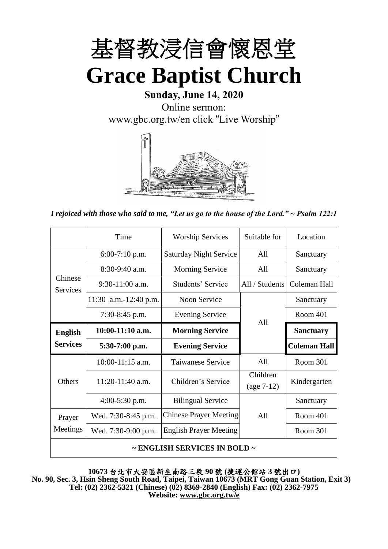

**Sunday, June 14, 2020** Online sermon: [www.gbc.org.tw/en](http://www.gbc.org.tw/en) click "Live Worship"



*I rejoiced with those who said to me, "Let us go to the house of the Lord." ~ Psalm 122:1*

|                                        | Time                  | <b>Worship Services</b>       | Suitable for             | Location            |
|----------------------------------------|-----------------------|-------------------------------|--------------------------|---------------------|
|                                        | $6:00-7:10$ p.m.      | <b>Saturday Night Service</b> | A11                      | Sanctuary           |
|                                        | $8:30-9:40$ a.m.      | <b>Morning Service</b><br>All |                          | Sanctuary           |
| Chinese<br><b>Services</b>             | $9:30-11:00$ a.m.     | Students' Service             | All / Students           | Coleman Hall        |
|                                        | 11:30 a.m.-12:40 p.m. | Noon Service                  |                          | Sanctuary           |
|                                        | 7:30-8:45 p.m.        | <b>Evening Service</b>        | A11                      | <b>Room 401</b>     |
| <b>English</b><br><b>Services</b>      | $10:00-11:10$ a.m.    | <b>Morning Service</b>        |                          | <b>Sanctuary</b>    |
|                                        | $5:30-7:00$ p.m.      | <b>Evening Service</b>        |                          | <b>Coleman Hall</b> |
| <b>Others</b>                          | $10:00-11:15$ a.m.    | <b>Taiwanese Service</b>      | All                      | Room 301            |
|                                        | 11:20-11:40 a.m.      | Children's Service            | Children<br>$(age 7-12)$ | Kindergarten        |
|                                        | $4:00-5:30$ p.m.      | <b>Bilingual Service</b>      |                          | Sanctuary           |
| Prayer                                 | Wed. 7:30-8:45 p.m.   | <b>Chinese Prayer Meeting</b> | A11                      | Room 401            |
| Meetings                               | Wed. 7:30-9:00 p.m.   | <b>English Prayer Meeting</b> |                          | Room 301            |
| $\sim$ ENGLISH SERVICES IN BOLD $\sim$ |                       |                               |                          |                     |

**10673** 台北市大安區新生南路三段 **90** 號 **(**捷運公館站 **3** 號出口**) No. 90, Sec. 3, Hsin Sheng South Road, Taipei, Taiwan 10673 (MRT Gong Guan Station, Exit 3) Tel: (02) 2362-5321 (Chinese) (02) 8369-2840 (English) Fax: (02) 2362-7975 Website: www.gbc.org.tw/e**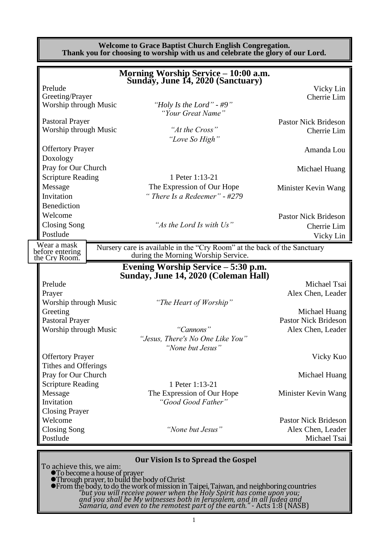**Welcome to Grace Baptist Church English Congregation. Thank you for choosing to worship with us and celebrate the glory of our Lord. Morning Worship Service – 10:00 a.m. Sunday, June 14, 2020 (Sanctuary)** Prelude Vicky Lin Greeting/Prayer Cherrie Lim<br>Worship through Music "Holy Is the Lord" - #9" Cherrie Lim "Holy Is the Lord" - #9" *"Your Great Name"* Pastoral Prayer<br>Worship through Music and *Heftifie Cross* "At the Cross" Pastor Nick Brideson<br>Cherrie Lim Worship through Music *"At the Cross"* Cherrie Lim *"Love So High"* Offertory Prayer Amanda Lou Doxology Pray for Our Church Michael Huang Scripture Reading 1 Peter 1:13-21 Message The Expression of Our Hope Minister Kevin Wang<br>Invitation "There Is a Redeemer" - #279 Invitation *" There Is a Redeemer" - #279* Benediction Welcome Pastor Nick Brideson Closing Song *"As the Lord Is with Us"* Cherrie Lim Postlude Vicky Lin Nursery care is available in the "Cry Room" at the back of the Sanctuary during the Morning Worship Service. **Evening Worship Service – 5:30 p.m. Sunday, June 14, 2020 (Coleman Hall)** Prelude Michael Tsai Prayer **Prayer** Alex Chen, Leader **Alex Chen**, Leader Worship through Music *"The Heart of Worship"* Greeting Michael Huang Pastoral Prayer Pastor Nick Brideson Worship through Music *"Cannons"* Alex Chen, Leader *"Jesus, There's No One Like You" "None but Jesus"* Offertory Prayer Vicky Kuo Tithes and Offerings Pray for Our Church Michael Huang Scripture Reading 1 Peter 1:13-21 Message The Expression of Our Hope Minister Kevin Wang Invitation *"Good Good Father"* Closing Prayer Welcome **Pastor Nick Brideson** Pastor Nick Brideson Closing Song *"None but Jesus"* Alex Chen, Leader Postlude Michael Tsai Wear a mask before entering the Cry Room.

### **Our Vision Is to Spread the Gospel**

To achieve this, we aim:

⚫To become a house of prayer ⚫Through prayer, to build the body of Christ

⚫From the body, to do the work of mission in Taipei, Taiwan, and neighboring countries *"but you will receive power when the Holy Spirit has come upon you; and you shall be My witnesses both in Jerusalem, and in all Judea and Samaria, and even to the remotest part of the earth."* - Acts 1:8 (NASB)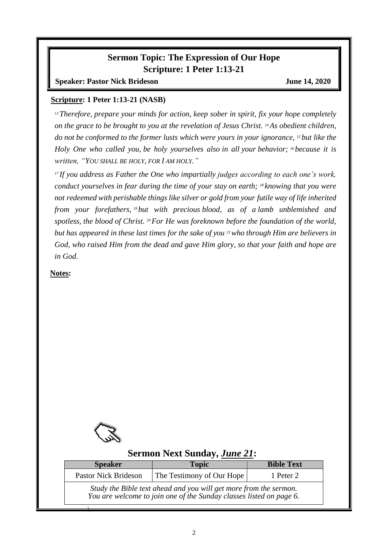## **Sermon Topic: The Expression of Our Hope Scripture: 1 Peter 1:13-21**

**Speaker: Pastor Nick Brideson June 14, 2020** 

### **Scripture: 1 Peter 1:13-21 (NASB)**

*<sup>13</sup>Therefore, prepare your minds for action, keep sober in spirit, fix your hope completely on the grace to be brought to you at the revelation of Jesus Christ. <sup>14</sup>As obedient children, do not be conformed to the former lusts which were yours in your ignorance, <sup>15</sup> but like the Holy One who called you, be holy yourselves also in all your behavior; <sup>16</sup> because it is written, "YOU SHALL BE HOLY, FOR I AM HOLY."*

*<sup>17</sup> If you address as Father the One who impartially judges according to each one's work, conduct yourselves in fear during the time of your stay on earth; <sup>18</sup> knowing that you were not redeemed with perishable things like silver or gold from your futile way of life inherited from your forefathers, <sup>19</sup> but with precious blood, as of a lamb unblemished and spotless, the blood of Christ. <sup>20</sup>For He was foreknown before the foundation of the world, but has appeared in these last times for the sake of you <sup>21</sup>who through Him are believers in God, who raised Him from the dead and gave Him glory, so that your faith and hope are in God.*

**Notes:**



## **Sermon Next Sunday,** *June 21***:**

| Topic                                                                                                                                    | <b>Bible Text</b> |  |  |  |
|------------------------------------------------------------------------------------------------------------------------------------------|-------------------|--|--|--|
| The Testimony of Our Hope                                                                                                                | 1 Peter 2         |  |  |  |
| Study the Bible text ahead and you will get more from the sermon.<br>You are welcome to join one of the Sunday classes listed on page 6. |                   |  |  |  |
|                                                                                                                                          |                   |  |  |  |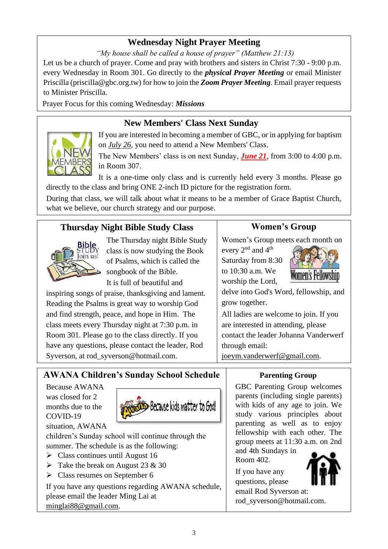# **Wednesday Night Prayer Meeting**

*"My house shall be called a house of prayer" (Matthew 21:13)*

Let us be a church of prayer. Come and pray with brothers and sisters in Christ 7:30 - 9:00 p.m. every Wednesday in Room 301. Go directly to the *physical Prayer Meeting* or email Minister Priscilla (priscilla@gbc.org.tw) for how to join the *Zoom Prayer Meeting*. Email prayer requests to Minister Priscilla.

Prayer Focus for this coming Wednesday: *Missions*

# **New Members' Class Next Sunday**



If you are interested in becoming a member of GBC, or in applying for baptism on *July 26*, you need to attend a New Members' Class.

The New Members' class is on next Sunday, *June 21*, from 3:00 to 4:00 p.m. in Room 307.

It is a one-time only class and is currently held every 3 months. Please go directly to the class and bring ONE 2-inch ID picture for the registration form.

During that class, we will talk about what it means to be a member of Grace Baptist Church, what we believe, our church strategy and our purpose.

# **Thursday Night Bible Study Class**



The Thursday night Bible Study class is now studying the Book of Psalms, which is called the songbook of the Bible.

It is full of beautiful and

inspiring songs of praise, thanksgiving and lament. Reading the Psalms is great way to worship God and find strength, peace, and hope in Him. The class meets every Thursday night at 7:30 p.m. in Room 301. Please go to the class directly. If you have any questions, please contact the leader, Rod Syverson, at rod syverson@hotmail.com.

# **Women's Group**

Women's Group meets each month on

every 2<sup>nd</sup> and 4<sup>th</sup> Saturday from 8:30 to 10:30 a.m. We worship the Lord,



delve into God's Word, fellowship, and grow together.

All ladies are welcome to join. If you are interested in attending, please contact the leader Johanna Vanderwerf through email:

joeym.vanderwerf@gmail.com.

# **AWANA Children's Sunday School Schedule**

Because AWANA was closed for 2 months due to the COVID-19 situation, AWANA



children's Sunday school will continue through the summer. The schedule is as the following:

- $\triangleright$  Class continues until August 16
- $\triangleright$  Take the break on August 23 & 30
- ➢ Class resumes on September 6

If you have any questions regarding AWANA schedule, please email the leader Ming Lai at minglai88@gmail.com.

# **Parenting Group**

GBC Parenting Group welcomes parents (including single parents) with kids of any age to join. We study various principles about parenting as well as to enjoy fellowship with each other. The group meets at 11:30 a.m. on 2nd

and 4th Sundays in Room 402.

If you have any questions, please email Rod Syverson at: [rod\\_syverson@hotmail.com.](mailto:rod_syverson@hotmail.com)

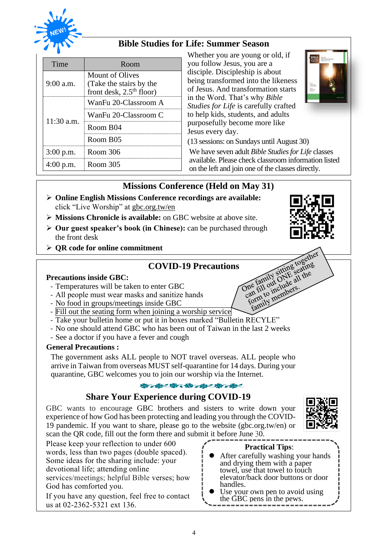

## **Bible Studies for Life: Summer Season**

| Time         | Room                                                                     |  |
|--------------|--------------------------------------------------------------------------|--|
| $9:00$ a.m.  | Mount of Olives<br>(Take the stairs by the<br>front desk, $2.5th$ floor) |  |
|              | WanFu 20-Classroom A                                                     |  |
| $11:30$ a.m. | WanFu 20-Classroom C                                                     |  |
|              | Room B04                                                                 |  |
|              | Room B05                                                                 |  |
| $3:00$ p.m.  | Room 306                                                                 |  |
|              | Room 305                                                                 |  |

Whether you are young or old, if you follow Jesus, you are a disciple. Discipleship is about being transformed into the likeness of Jesus. And transformation starts in the Word. That's why *Bible Studies for Life* is carefully crafted to help kids, students, and adults purposefully become more like Jesus every day.



(13 sessions: on Sundays until August 30) We have seven adult *Bible Studies for Life* classes available. Please check classroom information listed on the left and join one of the classes directly.

> to the family sitting to scating<br>the family sitting scating<br>can fill out childers:<br>formily members: ne fall out clude at<br>an fill out clude at<br>an fill out cluders.<br>family members.<br>family members.

## **Missions Conference (Held on May 31)**

- ➢ **Online English Missions Conference recordings are available:**  click "Live Worship" at gbc.org.tw/en
- ➢ **Missions Chronicle is available:** on GBC website at above site.
- ➢ **Our guest speaker's book (in Chinese):** can be purchased through the front desk
- ➢ **QR code for online commitment**

# One family sitting together<br>One family sitting seating<br>Can fill out of all the<br>can in to include sit **COVID-19 Precautions**

### **Precautions inside GBC:**

- Temperatures will be taken to enter GBC
- All people must wear masks and sanitize hands
- No food in groups/meetings inside GBC
- Fill out the seating form when joining a worship service
- Take your bulletin home or put it in boxes marked "Bulletin RECYLE"
- No one should attend GBC who has been out of Taiwan in the last 2 weeks
- See a doctor if you have a fever and cough

### **General Precautions :**

The government asks ALL people to NOT travel overseas. ALL people who arrive in Taiwan from overseas MUST self-quarantine for 14 days. During your quarantine, GBC welcomes you to join our worship via the Internet.

### 安) 安(安) 始/ 安/ 安/ 安/

### **Share Your Experience during COVID-19**

GBC wants to encourage GBC brothers and sisters to write down your experience of how God has been protecting and leading you through the COVID-19 pandemic. If you want to share, please go to the website (gbc.org.tw/en) or scan the QR code, fill out the form there and submit it before June 30.



Please keep your reflection to under 600 words, less than two pages (double spaced). Some ideas for the sharing include: your devotional life; attending online services/meetings; helpful Bible verses; how God has comforted you.

If you have any question, feel free to contact us at 02-2362-5321 ext 136.

### **Practical Tips**:

- ⚫ After carefully washing your hands and drying them with a paper towel, use that towel to touch elevator/back door buttons or door handles.
- Use your own pen to avoid using the GBC pens in the pews.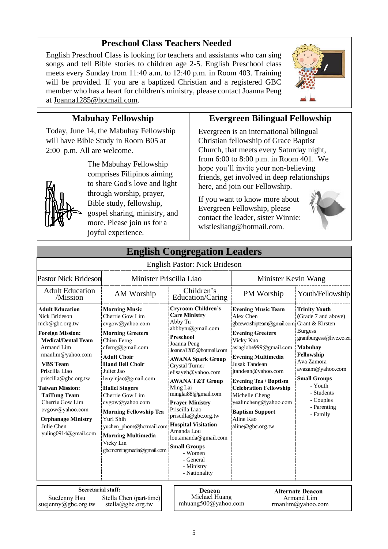## **Preschool Class Teachers Needed**

English Preschool Class is looking for teachers and assistants who can sing songs and tell Bible stories to children age 2-5. English Preschool class meets every Sunday from 11:40 a.m. to 12:40 p.m. in Room 403. Training will be provided. If you are a baptized Christian and a registered GBC member who has a heart for children's ministry, please contact Joanna Peng at Joanna1285@hotmail.com.



## **Mabuhay Fellowship**

Today, June 14, the Mabuhay Fellowship will have Bible Study in Room B05 at 2:00 p.m. All are welcome.



The Mabuhay Fellowship comprises Filipinos aiming to share God's love and light through worship, prayer, Bible study, fellowship, gospel sharing, ministry, and more. Please join us for a joyful experience.

## **Evergreen Bilingual Fellowship**

Evergreen is an international bilingual Christian fellowship of Grace Baptist Church, that meets every Saturday night, from 6:00 to 8:00 p.m. in Room 401. We hope you'll invite your non-believing friends, get involved in deep relationships here, and join our Fellowship.

If you want to know more about Evergreen Fellowship, please contact the leader, sister Winnie: wistlesliang@hotmail.com.



| <b>English Congregation Leaders</b>                                                                                                                                                                                                                                                                                                                                                  |                                                                                                                                                                                                                                                                                                                                                                                                                               |                                                                                                                                                                                                                                                                                                                                                                                                                                                                                                           |                                                                                                                                                                                                                                                                                                                                                                                                  |                                                                                                                                                                                                                                             |
|--------------------------------------------------------------------------------------------------------------------------------------------------------------------------------------------------------------------------------------------------------------------------------------------------------------------------------------------------------------------------------------|-------------------------------------------------------------------------------------------------------------------------------------------------------------------------------------------------------------------------------------------------------------------------------------------------------------------------------------------------------------------------------------------------------------------------------|-----------------------------------------------------------------------------------------------------------------------------------------------------------------------------------------------------------------------------------------------------------------------------------------------------------------------------------------------------------------------------------------------------------------------------------------------------------------------------------------------------------|--------------------------------------------------------------------------------------------------------------------------------------------------------------------------------------------------------------------------------------------------------------------------------------------------------------------------------------------------------------------------------------------------|---------------------------------------------------------------------------------------------------------------------------------------------------------------------------------------------------------------------------------------------|
|                                                                                                                                                                                                                                                                                                                                                                                      |                                                                                                                                                                                                                                                                                                                                                                                                                               | <b>English Pastor: Nick Brideson</b>                                                                                                                                                                                                                                                                                                                                                                                                                                                                      |                                                                                                                                                                                                                                                                                                                                                                                                  |                                                                                                                                                                                                                                             |
| <b>Pastor Nick Brideson</b>                                                                                                                                                                                                                                                                                                                                                          | Minister Priscilla Liao                                                                                                                                                                                                                                                                                                                                                                                                       |                                                                                                                                                                                                                                                                                                                                                                                                                                                                                                           | Minister Kevin Wang                                                                                                                                                                                                                                                                                                                                                                              |                                                                                                                                                                                                                                             |
| <b>Adult Education</b><br>/Mission                                                                                                                                                                                                                                                                                                                                                   | AM Worship                                                                                                                                                                                                                                                                                                                                                                                                                    | Children's<br>Education/Caring                                                                                                                                                                                                                                                                                                                                                                                                                                                                            | PM Worship                                                                                                                                                                                                                                                                                                                                                                                       | Youth/Fellowship                                                                                                                                                                                                                            |
| <b>Adult Education</b><br><b>Nick Brideson</b><br>nick@gbc.org.tw<br><b>Foreign Mission:</b><br><b>Medical/Dental Team</b><br>Armand Lim<br>rmanlim@yahoo.com<br><b>VBS</b> Team<br>Priscilla Liao<br>priscilla@gbc.org.tw<br><b>Taiwan Mission:</b><br><b>TaiTung Team</b><br>Cherrie Gow Lim<br>cvgow@yahoo.com<br><b>Orphanage Ministry</b><br>Julie Chen<br>yuling0914@gmail.com | <b>Morning Music</b><br>Cherrie Gow Lim<br>cvgow@yahoo.com<br><b>Morning Greeters</b><br>Chien Ferng<br>cferng@gmail.com<br><b>Adult Choir</b><br><b>Hand Bell Choir</b><br>Juliet Jao<br>lenyinjao@gmail.com<br><b>Hallel Singers</b><br>Cherrie Gow Lim<br>cvgow@yahoo.com<br><b>Morning Fellowship Tea</b><br>Yuri Shih<br>yuchen phone@hotmail.com<br><b>Morning Multimedia</b><br>Vicky Lin<br>gbcmorningmedia@gmail.com | <b>Cryroom Children's</b><br><b>Care Ministry</b><br>Abby Tu<br>abbbytu@gmail.com<br>Preschool<br>Joanna Peng<br>Joanna1285@hotmail.com<br><b>AWANA Spark Group</b><br><b>Crystal Turner</b><br>elisayeh@yahoo.com<br><b>AWANA T&amp;T Group</b><br>Ming Lai<br>minglai88@gmail.com<br><b>Praver Ministry</b><br>Priscilla Liao<br>priscilla@gbc.org.tw<br><b>Hospital Visitation</b><br>Amanda Lou<br>lou.amanda@gmail.com<br><b>Small Groups</b><br>- Women<br>- General<br>- Ministry<br>- Nationality | <b>Evening Music Team</b><br>Alex Chen<br>gbceworshipteam@gmail.com Grant & Kirsten<br><b>Evening Greeters</b><br>Vicky Kuo<br>asiaglobe999@gmail.com<br><b>Evening Multimedia</b><br>Jusak Tandean<br>jtandean@yahoo.com<br><b>Evening Tea / Baptism</b><br><b>Celebration Fellowship</b><br>Michelle Cheng<br>yealincheng@yahoo.com<br><b>Baptism Support</b><br>Aline Kao<br>aline@gbc.org.tw | <b>Trinity Youth</b><br>(Grade 7 and above)<br><b>Burgess</b><br>grantburgess@live.co.za<br>Mabuhay<br>Fellowship<br>Ava Zamora<br>avazam@yahoo.com<br><b>Small Groups</b><br>- Youth<br>- Students<br>- Couples<br>- Parenting<br>- Family |
| <b>Secretarial staff:</b><br>SueJenny Hsu<br>Stella Chen (part-time)<br>suejenny@gbc.org.tw<br>stella@gbc.org.tw                                                                                                                                                                                                                                                                     |                                                                                                                                                                                                                                                                                                                                                                                                                               | Deacon<br>Michael Huang<br>mhuang500@yahoo.com                                                                                                                                                                                                                                                                                                                                                                                                                                                            |                                                                                                                                                                                                                                                                                                                                                                                                  | <b>Alternate Deacon</b><br>Armand Lim<br>rmanlim@yahoo.com                                                                                                                                                                                  |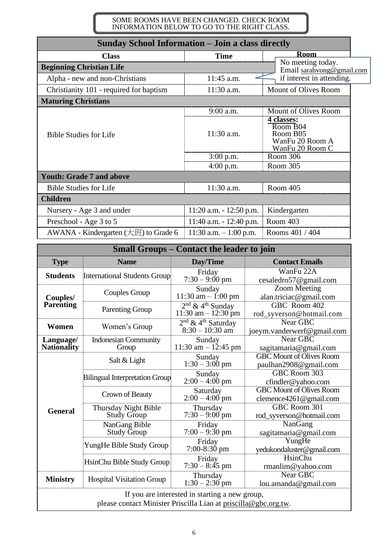### SOME ROOMS HAVE BEEN CHANGED. CHECK ROOM INFORMATION BELOW TO GO TO THE RIGHT CLASS.

| <b>Sunday School Information - Join a class directly</b>                          |                            |                                                                          |  |  |
|-----------------------------------------------------------------------------------|----------------------------|--------------------------------------------------------------------------|--|--|
| <b>Class</b>                                                                      | <b>Time</b>                | <b>Room</b>                                                              |  |  |
| No meeting today.<br><b>Beginning Christian Life</b><br>Email sarahvong@gmail.com |                            |                                                                          |  |  |
| Alpha - new and non-Christians                                                    | 11:45 a.m.                 | if interest in attending.                                                |  |  |
| Christianity 101 - required for baptism                                           | 11:30 a.m.                 | Mount of Olives Room                                                     |  |  |
| <b>Maturing Christians</b>                                                        |                            |                                                                          |  |  |
|                                                                                   | $9:00$ a.m.                | Mount of Olives Room                                                     |  |  |
| <b>Bible Studies for Life</b>                                                     | $11:30$ a.m.               | 4 classes:<br>Room B04<br>Room B05<br>WanFu 20 Room A<br>WanFu 20 Room C |  |  |
|                                                                                   | $3:00$ p.m.                | Room 306                                                                 |  |  |
|                                                                                   | $4:00$ p.m.                | Room 305                                                                 |  |  |
| <b>Youth: Grade 7 and above</b>                                                   |                            |                                                                          |  |  |
| <b>Bible Studies for Life</b>                                                     | 11:30 a.m.                 | Room 405                                                                 |  |  |
| <b>Children</b>                                                                   |                            |                                                                          |  |  |
| Nursery - Age 3 and under                                                         | $11:20$ a.m. $-12:50$ p.m. | Kindergarten                                                             |  |  |
| Preschool - Age 3 to 5                                                            | 11:40 a.m. $- 12:40$ p.m.  | Room 403                                                                 |  |  |
| AWANA - Kindergarten $(\pm \mathcal{H})$ to Grade 6                               | 11:30 a.m. $-1:00$ p.m.    | Rooms 401 / 404                                                          |  |  |

| <b>Small Groups - Contact the leader to join</b>                                                                  |                                            |                                                                  |                                                           |  |
|-------------------------------------------------------------------------------------------------------------------|--------------------------------------------|------------------------------------------------------------------|-----------------------------------------------------------|--|
| <b>Type</b>                                                                                                       | <b>Name</b>                                | Day/Time<br><b>Contact Emails</b>                                |                                                           |  |
| <b>Students</b>                                                                                                   | <b>International Students Group</b>        | Friday<br>$7:30 - 9:00 \text{ pm}$                               | WanFu 22A<br>cesaledro57@gmail.com                        |  |
| Couples/                                                                                                          | Couples Group                              | Sunday<br>$11:30$ am $- 1:00$ pm                                 | <b>Zoom Meeting</b><br>alan.triciac@gmail.com             |  |
| <b>Parenting</b>                                                                                                  | <b>Parenting Group</b>                     | $2nd$ & 4 <sup>th</sup> Sunday<br>$11:30$ am $- 12:30$ pm        | GBC Room 402<br>rod_syverson@hotmail.com                  |  |
| Women                                                                                                             | Women's Group                              | $\frac{2^{nd} \& 4^{th} Saturday}{8:30 - 10:30}$ am              | Near GBC<br>joeym.vanderwerf@gmail.com                    |  |
| Language/<br><b>Nationality</b>                                                                                   | <b>Indonesian Community</b><br>Group       | Sunday<br>$11:30$ am $-12:45$ pm                                 | Near GBC<br>sagitamaria@gmail.com                         |  |
|                                                                                                                   | Salt & Light                               | Sunday<br>$1:30 - 3:00 \text{ pm}$                               | <b>GBC Mount of Olives Room</b><br>paulhan2908@gmail.com  |  |
|                                                                                                                   | <b>Bilingual Interpretation Group</b>      | Sunday<br>$2:00 - 4:00$ pm                                       | GBC Room 303<br>cfindler@yahoo.com                        |  |
|                                                                                                                   | Crown of Beauty                            | Saturday<br>$2:00 - 4:00$ pm                                     | <b>GBC Mount of Olives Room</b><br>clemence4261@gmail.com |  |
| <b>General</b>                                                                                                    | Thursday Night Bible<br><b>Study Group</b> | Thursday<br>$7:30 - 9:00$ pm                                     | GBC Room 301<br>rod_syverson@hotmail.com                  |  |
|                                                                                                                   | NanGang Bible<br>Study Group               | Friday<br>$7:00 - 9:30$ pm                                       | NanGang<br>sagitamaria@gmail.com                          |  |
|                                                                                                                   | YungHe Bible Study Group                   | Friday<br>$7:00-8:30$ pm                                         | YungHe<br>yedukondaluster@gmail.com                       |  |
|                                                                                                                   | HsinChu Bible Study Group                  | Friday<br>$7:30 - 8:45$ pm                                       | HsinChu<br>rmanlim@yahoo.com                              |  |
| <b>Ministry</b>                                                                                                   | <b>Hospital Visitation Group</b>           | Near GBC<br>Thursday<br>$1:30 - 2:30$ pm<br>lou.amanda@gmail.com |                                                           |  |
| If you are interested in starting a new group,<br>please contact Minister Priscilla Liao at priscilla@gbc.org.tw. |                                            |                                                                  |                                                           |  |